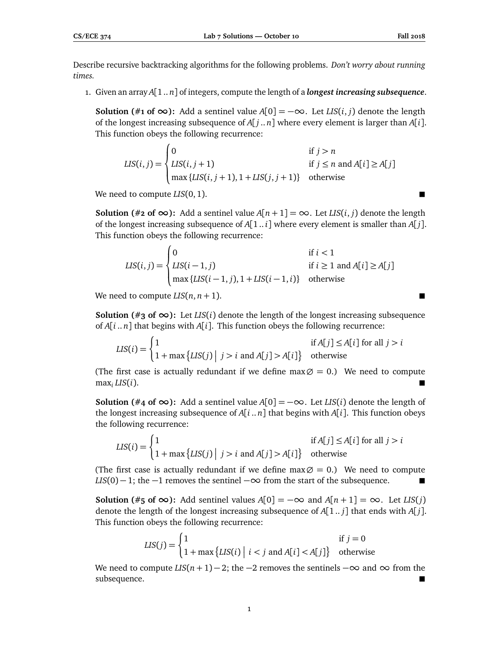Describe recursive backtracking algorithms for the following problems. *Don't worry about running times.*

1. Given an array *A*[1 .. *n*] of integers, compute the length of a *longest increasing subsequence*.

**Solution** (#1 of ∞): Add a sentinel value  $A[0] = -\infty$ . Let *LIS*(*i*, *j*) denote the length of the longest increasing subsequence of  $A[j..n]$  where every element is larger than  $A[i].$ This function obeys the following recurrence:

$$
LIS(i, j) = \begin{cases} 0 & \text{if } j > n \\ LIS(i, j + 1) & \text{if } j \le n \text{ and } A[i] \ge A[j] \\ \max\{LIS(i, j + 1), 1 + LIS(j, j + 1)\} & \text{otherwise} \end{cases}
$$

We need to compute *LIS*(0, 1).

**Solution** (#2 of  $\infty$ ): Add a sentinel value  $A[n+1] = \infty$ . Let *LIS*(*i*, *j*) denote the length of the longest increasing subsequence of  $A[1..i]$  where every element is smaller than  $A[i]$ . This function obeys the following recurrence:

$$
LIS(i, j) = \begin{cases} 0 & \text{if } i < 1\\ LIS(i - 1, j) & \text{if } i \ge 1 \text{ and } A[i] \ge A[j] \\ \max \{LIS(i - 1, j), 1 + LIS(i - 1, i)\} & \text{otherwise} \end{cases}
$$

We need to compute  $LIS(n, n + 1)$ .

**Solution** (#3 of  $\infty$ ): Let *LIS*(*i*) denote the length of the longest increasing subsequence of *A*[*i* .. *n*] that begins with *A*[*i*]. This function obeys the following recurrence:

$$
LIS(i) = \begin{cases} 1 & \text{if } A[j] \le A[i] \text{ for all } j > i \\ 1 + \max\{LIS(j) \mid j > i \text{ and } A[j] > A[i] \} & \text{otherwise} \end{cases}
$$

(The first case is actually redundant if we define  $\max \emptyset = 0$ .) We need to compute  $\max_i \text{LIS}(i)$ .

**Solution** (#4 of ∞): Add a sentinel value  $A[0] = -\infty$ . Let *LIS*(*i*) denote the length of the longest increasing subsequence of  $A[i..n]$  that begins with  $A[i]$ . This function obeys the following recurrence:

$$
LIS(i) = \begin{cases} 1 & \text{if } A[j] \le A[i] \text{ for all } j > i \\ 1 + \max\{LIS(j) \mid j > i \text{ and } A[j] > A[i]\} & \text{otherwise} \end{cases}
$$

(The first case is actually redundant if we define  $\max \emptyset = 0$ .) We need to compute  $LIS(0) - 1$ ; the  $-1$  removes the sentinel  $-\infty$  from the start of the subsequence.

**Solution** (#**5** of ∞): Add sentinel values  $A[0] = -\infty$  and  $A[n+1] = \infty$ . Let *LIS*(*j*) denote the length of the longest increasing subsequence of *A*[1 .. *j*] that ends with *A*[ *j*]. This function obeys the following recurrence:

$$
LIS(j) = \begin{cases} 1 & \text{if } j = 0\\ 1 + \max\{LIS(i) \mid i < j \text{ and } A[i] < A[j]\} & \text{otherwise} \end{cases}
$$

We need to compute  $LIS(n + 1) - 2$ ; the  $-2$  removes the sentinels  $-\infty$  and  $\infty$  from the subsequence.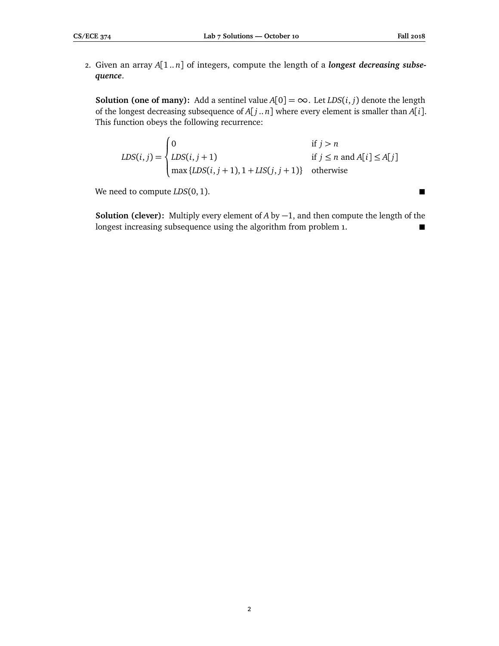2. Given an array *A*[1 .. *n*] of integers, compute the length of a *longest decreasing subsequence*.

**Solution (one of many):** Add a sentinel value  $A[0] = \infty$ . Let *LDS*(*i*, *j*) denote the length of the longest decreasing subsequence of *A*[ *j* .. *n*] where every element is smaller than *A*[*i*]. This function obeys the following recurrence:

 $LDS(i, j) =$  $\sqrt{ }$  $\int$  $\overline{\mathcal{L}}$ 0 if  $j > n$ *LDS*(*i*, *j* + 1) if *j*  $\leq$  *n* and *A*[*i*]  $\leq$  *A*[*j*]  $max \{LDS(i, j+1), 1 + LIS(j, j+1)\}$  otherwise

We need to compute *LDS*(0, 1).

**Solution (clever):** Multiply every element of *A* by −1, and then compute the length of the longest increasing subsequence using the algorithm from problem 1.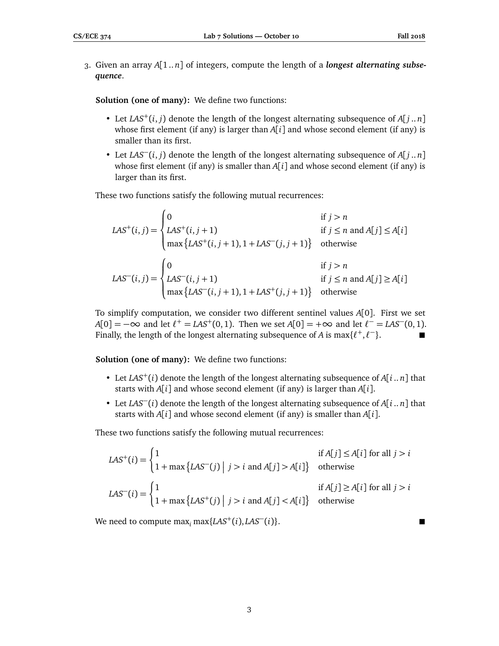3. Given an array *A*[1 .. *n*] of integers, compute the length of a *longest alternating subsequence*.

**Solution (one of many):** We define two functions:

- Let *LAS*<sup>+</sup>(*i*, *j*) denote the length of the longest alternating subsequence of  $A[j..n]$ whose first element (if any) is larger than *A*[*i*] and whose second element (if any) is smaller than its first.
- Let *LAS*−(*i*, *<sup>j</sup>*) denote the length of the longest alternating subsequence of *<sup>A</sup>*[ *<sup>j</sup>* .. *<sup>n</sup>*] whose first element (if any) is smaller than  $A[i]$  and whose second element (if any) is larger than its first.

These two functions satisfy the following mutual recurrences:

$$
LAS^{+}(i, j) = \begin{cases} 0 & \text{if } j > n \\ LAS^{+}(i, j+1) & \text{if } j \le n \text{ and } A[j] \le A[i] \\ \max \{ LAS^{+}(i, j+1), 1+LAS^{-}(j, j+1) \} & \text{otherwise} \end{cases}
$$
  

$$
LAS^{-}(i, j) = \begin{cases} 0 & \text{if } j > n \\ LAS^{-}(i, j+1) & \text{if } j \le n \text{ and } A[j] \ge A[i] \\ \max \{ LAS^{-}(i, j+1), 1+LAS^{+}(j, j+1) \} & \text{otherwise} \end{cases}
$$

To simplify computation, we consider two different sentinel values *A*[0]. First we set  $A[0] = -\infty$  and let  $\ell^+ = LAS^+(0, 1)$ . Then we set  $A[0] = +\infty$  and let  $\ell^- = LAS^-(0, 1)$ . Finally, the length of the longest alternating subsequence of *A* is  $\max\{\ell^+,\ell^-\}$ .

**Solution (one of many):** We define two functions:

- Let  $LAS^{+}(i)$  denote the length of the longest alternating subsequence of  $A[i..n]$  that starts with *A*[*i*] and whose second element (if any) is larger than *A*[*i*].
- Let *LAS*−(*i*) denote the length of the longest alternating subsequence of *<sup>A</sup>*[*<sup>i</sup>* .. *<sup>n</sup>*] that starts with *A*[*i*] and whose second element (if any) is smaller than *A*[*i*].

These two functions satisfy the following mutual recurrences:

$$
LAS^{+}(i) = \begin{cases} 1 & \text{if } A[j] \le A[i] \text{ for all } j > i \\ 1 + \max \{LAS^{-}(j) \mid j > i \text{ and } A[j] > A[i] \} & \text{otherwise} \end{cases}
$$
  

$$
LAS^{-}(i) = \begin{cases} 1 & \text{if } A[j] \ge A[i] \text{ for all } j > i \\ 1 + \max \{LAS^{+}(j) \mid j > i \text{ and } A[j] < A[i] \} & \text{otherwise} \end{cases}
$$

We need to compute  $\max_i \max\{LAS^+(i), LAS^-(i)\}.$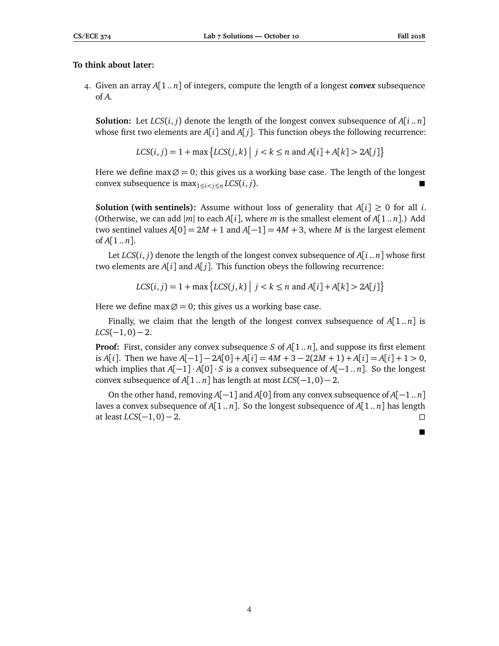## **To think about later:**

4. Given an array *A*[1 .. *n*] of integers, compute the length of a longest *convex* subsequence of *A*.

**Solution:** Let  $LCS(i, j)$  denote the length of the longest convex subsequence of  $A[i..n]$ whose first two elements are  $A[i]$  and  $A[j]$ . This function obeys the following recurrence:

$$
LCS(i, j) = 1 + \max \left\{ LCS(j, k) \mid j < k \le n \text{ and } A[i] + A[k] > 2A[j] \right\}
$$

Here we define max $\emptyset = 0$ ; this gives us a working base case. The length of the longest convex subsequence is  $\max_{1 \le i \le n} LCS(i, j)$ .

**Solution (with sentinels):** Assume without loss of generality that  $A[i] \geq 0$  for all *i*. (Otherwise, we can add  $|m|$  to each *A*[*i*], where *m* is the smallest element of *A*[1.. *n*].) Add two sentinel values  $A[0] = 2M + 1$  and  $A[-1] = 4M + 3$ , where M is the largest element of  $A[1..n]$ .

Let  $LCS(i, j)$  denote the length of the longest convex subsequence of  $A[i..n]$  whose first two elements are  $A[i]$  and  $A[j]$ . This function obeys the following recurrence:

$$
LCS(i, j) = 1 + \max \left\{ LCS(j, k) \mid j < k \le n \text{ and } A[i] + A[k] > 2A[j] \right\}
$$

Here we define max  $\varnothing$  = 0; this gives us a working base case.

Finally, we claim that the length of the longest convex subsequence of *A*[1 .. *n*] is  $LCS(-1,0)-2$ .

**Proof:** First, consider any convex subsequence *S* of *A*[1 .. *n*], and suppose its first element is *A*[*i*]. Then we have *A*[−1] − 2*A*[0] + *A*[*i*] = 4*M* + 3 − 2(2*M* + 1) + *A*[*i*] = *A*[*i*] + 1 > 0, which implies that  $A[-1] \cdot A[0] \cdot S$  is a convex subsequence of  $A[-1..n]$ . So the longest convex subsequence of  $A[1..n]$  has length at most  $LCS(-1, 0) - 2$ .

On the other hand, removing *A*[−1] and *A*[0] from any convex subsequence of *A*[−1 .. *n*] laves a convex subsequence of  $A[1..n]$ . So the longest subsequence of  $A[1..n]$  has length  $\Box$  at least *LCS*(−1, 0) − 2.

ш